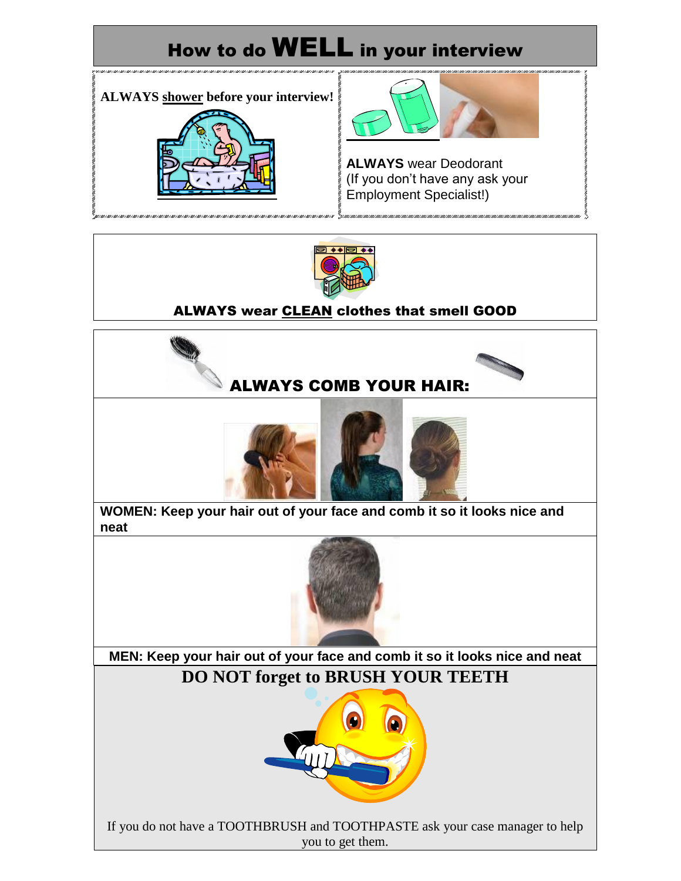



#### ALWAYS wear CLEAN clothes that smell GOOD

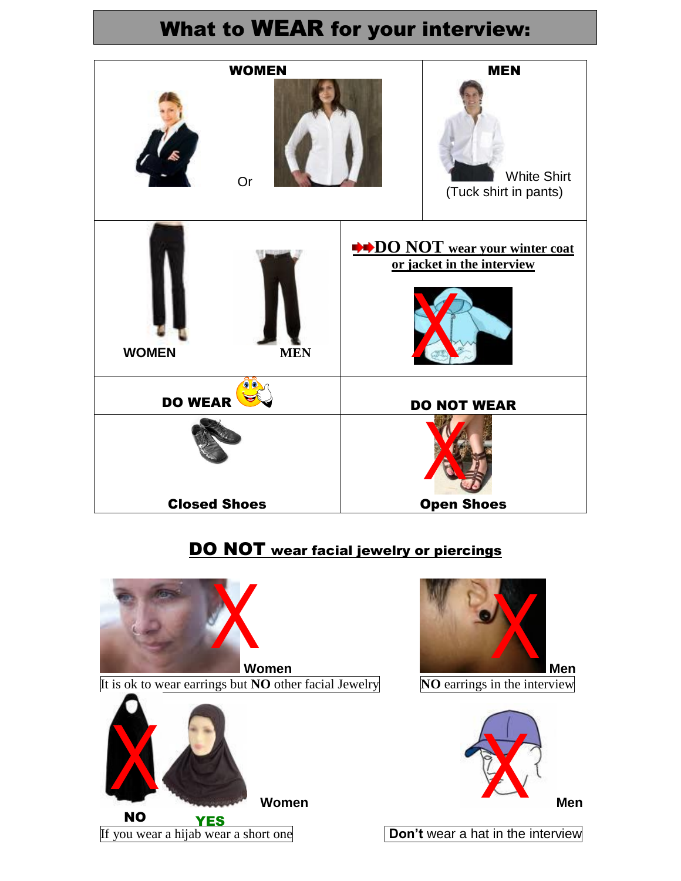### What to WEAR for your interview:



#### DO NOT wear facial jewelry or piercings

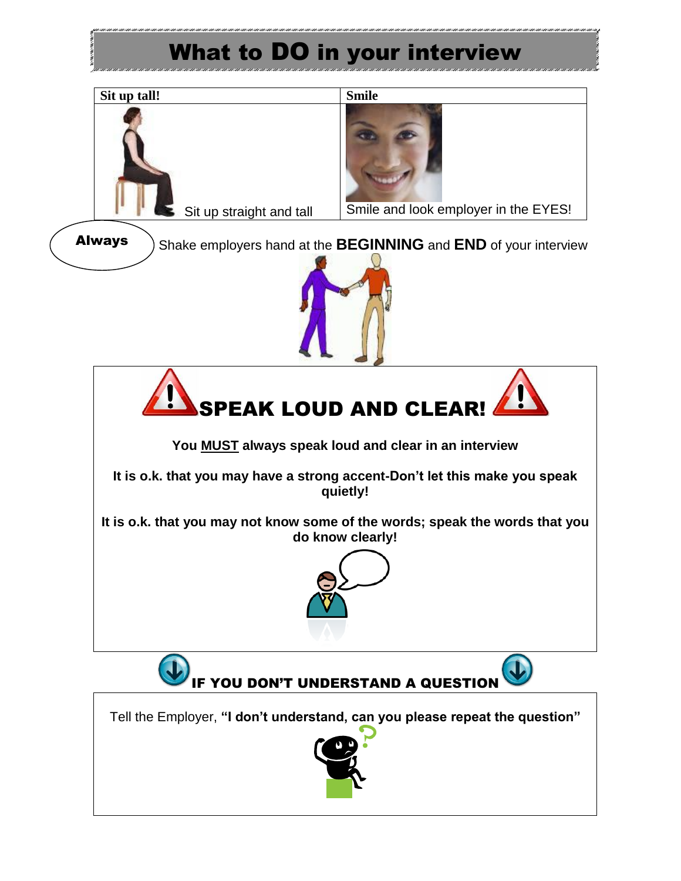## What to DO in your interview



**You MUST always speak loud and clear in an interview**

**It is o.k. that you may have a strong accent-Don't let this make you speak quietly!**

**It is o.k. that you may not know some of the words; speak the words that you do know clearly!**





Tell the Employer, **"I don't understand, can you please repeat the question"**

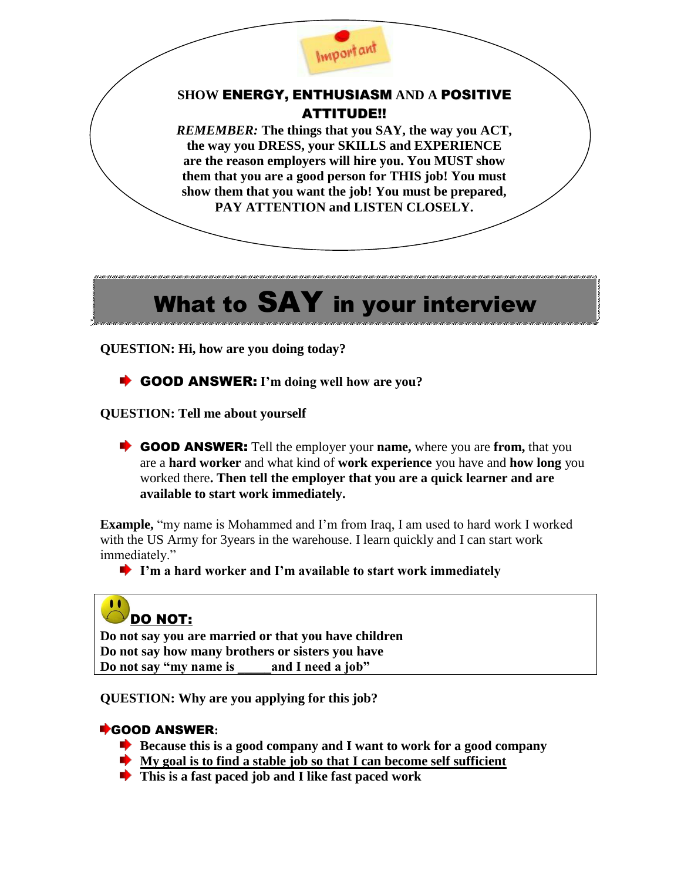

#### **SHOW** ENERGY, ENTHUSIASM **AND A** POSITIVE ATTITUDE!!

*REMEMBER:* **The things that you SAY, the way you ACT, the way you DRESS, your SKILLS and EXPERIENCE are the reason employers will hire you. You MUST show them that you are a good person for THIS job! You must show them that you want the job! You must be prepared, PAY ATTENTION and LISTEN CLOSELY.**

# What to SAY in your interview

**QUESTION: Hi, how are you doing today?**

GOOD ANSWER: **I'm doing well how are you?**

**QUESTION: Tell me about yourself**

GOOD ANSWER: Tell the employer your **name,** where you are **from,** that you are a **hard worker** and what kind of **work experience** you have and **how long** you worked there**. Then tell the employer that you are a quick learner and are available to start work immediately.** 

**Example,** "my name is Mohammed and I'm from Iraq, I am used to hard work I worked with the US Army for 3 years in the warehouse. I learn quickly and I can start work immediately."

**I'm a hard worker and I'm available to start work immediately**

#### $\bullet \bullet$ [D](http://images.google.com/imgres?imgurl=http://www.howtoavoidthebummerlife.com/weblog/archives/frowny-face-150-tn.jpg&imgrefurl=http://htatbl.swobo.com/weblog/archives/2007/11/&usg=__aSbZ5xJaXXzhU3qO_QEtl8kdukU=&h=150&w=150&sz=15&hl=en&start=7&um=1&tbnid=1pDfZuocIffDHM:&tbnh=96&tbnw=96&prev=/images%3Fq%3Dfrowny%2Bface%2Bclip%2Bart%26hl%3Den%26rlz%3D1T4GGLL_enUS332US333%26um%3D1)O NOT:

**Do not say you are married or that you have children Do not say how many brothers or sisters you have Do not say "my name is \_\_\_\_\_and I need a job"**

**QUESTION: Why are you applying for this job?**

#### GOOD ANSWER**:**

- **Because this is a good company and I want to work for a good company**
- **My goal is to find a stable job so that I can become self sufficient**
- **This is a fast paced job and I like fast paced work**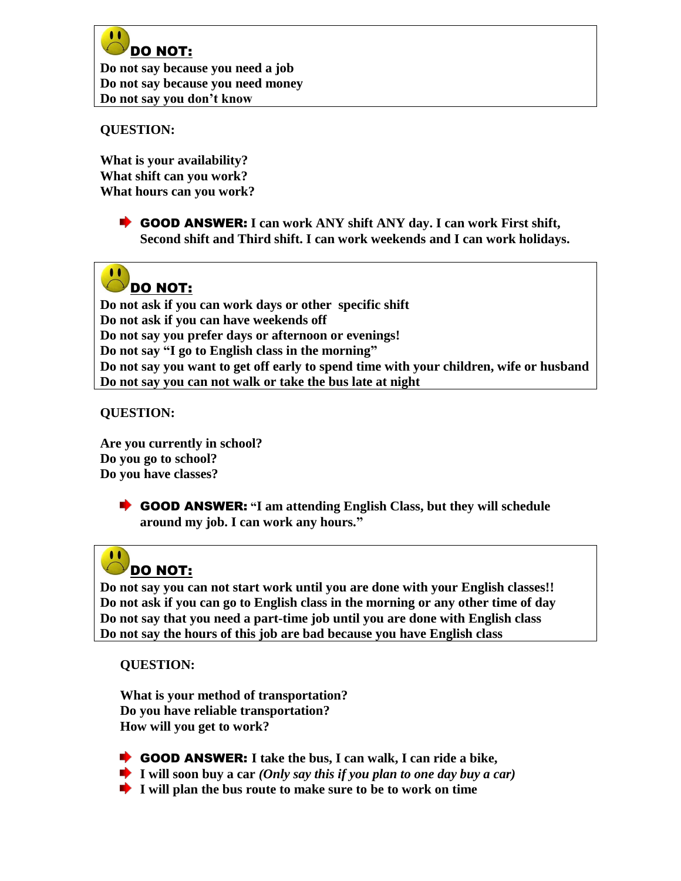

**Do not say because you need a job Do not say because you need money Do not say you don't know** 

#### **QUESTION:**

**What is your availability? What shift can you work? What hours can you work?**

> GOOD ANSWER: **I can work ANY shift ANY day. I can work First shift, Second shift and Third shift. I can work weekends and I can work holidays.**



**Do not ask if you can work days or other specific shift Do not ask if you can have weekends off Do not say you prefer days or afternoon or evenings! Do not say "I go to English class in the morning" Do not say you want to get off early to spend time with your children, wife or husband Do not say you can not walk or take the bus late at night**

**QUESTION:** 

**Are you currently in school? Do you go to school? Do you have classes?**

> GOOD ANSWER: **"I am attending English Class, but they will schedule around my job. I can work any hours."**

#### $\bullet$ [D](http://images.google.com/imgres?imgurl=http://www.howtoavoidthebummerlife.com/weblog/archives/frowny-face-150-tn.jpg&imgrefurl=http://htatbl.swobo.com/weblog/archives/2007/11/&usg=__aSbZ5xJaXXzhU3qO_QEtl8kdukU=&h=150&w=150&sz=15&hl=en&start=7&um=1&tbnid=1pDfZuocIffDHM:&tbnh=96&tbnw=96&prev=/images%3Fq%3Dfrowny%2Bface%2Bclip%2Bart%26hl%3Den%26rlz%3D1T4GGLL_enUS332US333%26um%3D1)O NOT:

**Do not say you can not start work until you are done with your English classes!! Do not ask if you can go to English class in the morning or any other time of day Do not say that you need a part-time job until you are done with English class Do not say the hours of this job are bad because you have English class**

**QUESTION:** 

**What is your method of transportation? Do you have reliable transportation? How will you get to work?**

- GOOD ANSWER: **I take the bus, I can walk, I can ride a bike,**
- **I will soon buy a car** *(Only say this if you plan to one day buy a car)*
- **I will plan the bus route to make sure to be to work on time**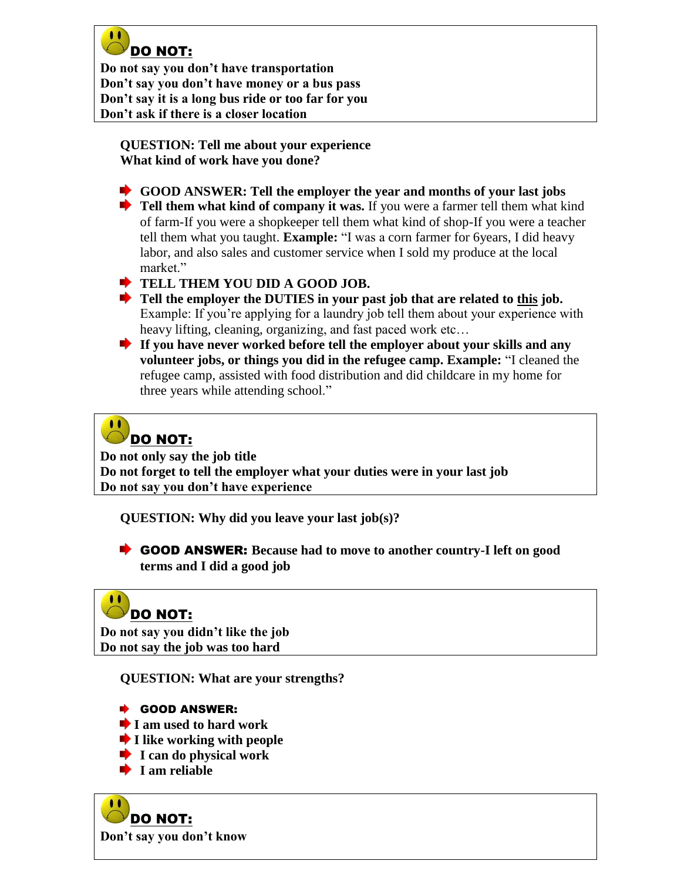

**Do not say you don't have transportation Don't say you don't have money or a bus pass Don't say it is a long bus ride or too far for you Don't ask if there is a closer location**

**QUESTION: Tell me about your experience What kind of work have you done?**

- **GOOD ANSWER: Tell the employer the year and months of your last jobs**
- **Tell them what kind of company it was.** If you were a farmer tell them what kind of farm-If you were a shopkeeper tell them what kind of shop-If you were a teacher tell them what you taught. **Example:** "I was a corn farmer for 6years, I did heavy labor, and also sales and customer service when I sold my produce at the local market"
- **TELL THEM YOU DID A GOOD JOB.**
- **Tell the employer the DUTIES in your past job that are related to this job.** Example: If you're applying for a laundry job tell them about your experience with heavy lifting, cleaning, organizing, and fast paced work etc…
- **If you have never worked before tell the employer about your skills and any volunteer jobs, or things you did in the refugee camp. Example:** "I cleaned the refugee camp, assisted with food distribution and did childcare in my home for three years while attending school."

#### $\bullet \bullet$ [D](http://images.google.com/imgres?imgurl=http://www.howtoavoidthebummerlife.com/weblog/archives/frowny-face-150-tn.jpg&imgrefurl=http://htatbl.swobo.com/weblog/archives/2007/11/&usg=__aSbZ5xJaXXzhU3qO_QEtl8kdukU=&h=150&w=150&sz=15&hl=en&start=7&um=1&tbnid=1pDfZuocIffDHM:&tbnh=96&tbnw=96&prev=/images%3Fq%3Dfrowny%2Bface%2Bclip%2Bart%26hl%3Den%26rlz%3D1T4GGLL_enUS332US333%26um%3D1)O NOT:

**Do not only say the job title Do not forget to tell the employer what your duties were in your last job Do not say you don't have experience** 

**QUESTION: Why did you leave your last job(s)?** 

GOOD ANSWER: **Because had to move to another country-I left on good terms and I did a good job**

#### $\bullet \bullet$ [D](http://images.google.com/imgres?imgurl=http://www.howtoavoidthebummerlife.com/weblog/archives/frowny-face-150-tn.jpg&imgrefurl=http://htatbl.swobo.com/weblog/archives/2007/11/&usg=__aSbZ5xJaXXzhU3qO_QEtl8kdukU=&h=150&w=150&sz=15&hl=en&start=7&um=1&tbnid=1pDfZuocIffDHM:&tbnh=96&tbnw=96&prev=/images%3Fq%3Dfrowny%2Bface%2Bclip%2Bart%26hl%3Den%26rlz%3D1T4GGLL_enUS332US333%26um%3D1)O NOT:

**Do not say you didn't like the job Do not say the job was too hard** 

**QUESTION: What are your strengths?**

- ◆ GOOD ANSWER:
- **I** am used to hard work
- **I** like working with people
- **I** can do physical work
- **I** am reliable

 $\bullet$ [D](http://images.google.com/imgres?imgurl=http://www.howtoavoidthebummerlife.com/weblog/archives/frowny-face-150-tn.jpg&imgrefurl=http://htatbl.swobo.com/weblog/archives/2007/11/&usg=__aSbZ5xJaXXzhU3qO_QEtl8kdukU=&h=150&w=150&sz=15&hl=en&start=7&um=1&tbnid=1pDfZuocIffDHM:&tbnh=96&tbnw=96&prev=/images%3Fq%3Dfrowny%2Bface%2Bclip%2Bart%26hl%3Den%26rlz%3D1T4GGLL_enUS332US333%26um%3D1)O NOT: **Don't say you don't know**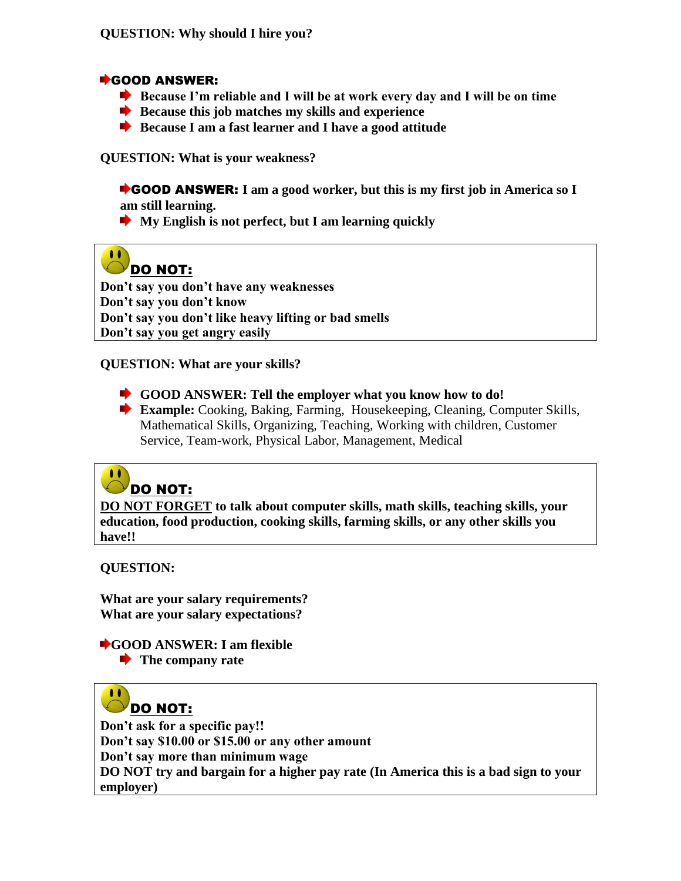#### GOOD ANSWER:

- **Because I'm reliable and I will be at work every day and I will be on time**
- **■** Because this job matches my skills and experience
- **Because I am a fast learner and I have a good attitude**

**QUESTION: What is your weakness?** 

GOOD ANSWER: **I am a good worker, but this is my first job in America so I am still learning.** 

**My English is not perfect, but I am learning quickly** 

#### $\bullet$ [D](http://images.google.com/imgres?imgurl=http://www.howtoavoidthebummerlife.com/weblog/archives/frowny-face-150-tn.jpg&imgrefurl=http://htatbl.swobo.com/weblog/archives/2007/11/&usg=__aSbZ5xJaXXzhU3qO_QEtl8kdukU=&h=150&w=150&sz=15&hl=en&start=7&um=1&tbnid=1pDfZuocIffDHM:&tbnh=96&tbnw=96&prev=/images%3Fq%3Dfrowny%2Bface%2Bclip%2Bart%26hl%3Den%26rlz%3D1T4GGLL_enUS332US333%26um%3D1)O NOT:

**Don't say you don't have any weaknesses Don't say you don't know Don't say you don't like heavy lifting or bad smells Don't say you get angry easily** 

#### **QUESTION: What are your skills?**

- **GOOD ANSWER: Tell the employer what you know how to do!**
- **Example:** Cooking, Baking, Farming, Housekeeping, Cleaning, Computer Skills, Mathematical Skills, Organizing, Teaching, Working with children, Customer Service, Team-work, Physical Labor, Management, Medical

#### $\bullet$ [D](http://images.google.com/imgres?imgurl=http://www.howtoavoidthebummerlife.com/weblog/archives/frowny-face-150-tn.jpg&imgrefurl=http://htatbl.swobo.com/weblog/archives/2007/11/&usg=__aSbZ5xJaXXzhU3qO_QEtl8kdukU=&h=150&w=150&sz=15&hl=en&start=7&um=1&tbnid=1pDfZuocIffDHM:&tbnh=96&tbnw=96&prev=/images%3Fq%3Dfrowny%2Bface%2Bclip%2Bart%26hl%3Den%26rlz%3D1T4GGLL_enUS332US333%26um%3D1)O NOT:

**DO NOT FORGET to talk about computer skills, math skills, teaching skills, your education, food production, cooking skills, farming skills, or any other skills you have!!** 

**QUESTION:** 

**What are your salary requirements? What are your salary expectations?**

**GOOD ANSWER: I am flexible The company rate** 

#### $\bullet$ [D](http://images.google.com/imgres?imgurl=http://www.howtoavoidthebummerlife.com/weblog/archives/frowny-face-150-tn.jpg&imgrefurl=http://htatbl.swobo.com/weblog/archives/2007/11/&usg=__aSbZ5xJaXXzhU3qO_QEtl8kdukU=&h=150&w=150&sz=15&hl=en&start=7&um=1&tbnid=1pDfZuocIffDHM:&tbnh=96&tbnw=96&prev=/images%3Fq%3Dfrowny%2Bface%2Bclip%2Bart%26hl%3Den%26rlz%3D1T4GGLL_enUS332US333%26um%3D1)O NOT:

**Don't ask for a specific pay!! Don't say \$10.00 or \$15.00 or any other amount Don't say more than minimum wage DO NOT try and bargain for a higher pay rate (In America this is a bad sign to your employer)**